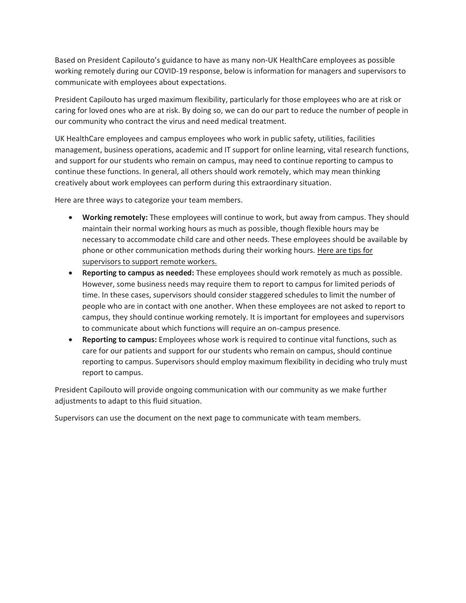Based on President Capilouto's guidance to have as many non-UK HealthCare employees as possible working remotely during our COVID-19 response, below is information for managers and supervisors to communicate with employees about expectations.

President Capilouto has urged maximum flexibility, particularly for those employees who are at risk or caring for loved ones who are at risk. By doing so, we can do our part to reduce the number of people in our community who contract the virus and need medical treatment.

UK HealthCare employees and campus employees who work in public safety, utilities, facilities management, business operations, academic and IT support for online learning, vital research functions, and support for our students who remain on campus, may need to continue reporting to campus to continue these functions. In general, all others should work remotely, which may mean thinking creatively about work employees can perform during this extraordinary situation.

Here are three ways to categorize your team members.

- **Working remotely:** These employees will continue to work, but away from campus. They should maintain their normal working hours as much as possible, though flexible hours may be necessary to accommodate child care and other needs. These employees should be available by phone or other communication methods during their working hours. [Here are tips for](https://www.uky.edu/hr/sites/www.uky.edu.hr/files/worklife/documents/Supervisor%20Tips%20for%20Supporting%20Remote%20Workers.pdf)  [supervisors to support remote workers.](https://www.uky.edu/hr/sites/www.uky.edu.hr/files/worklife/documents/Supervisor%20Tips%20for%20Supporting%20Remote%20Workers.pdf)
- **Reporting to campus as needed:** These employees should work remotely as much as possible. However, some business needs may require them to report to campus for limited periods of time. In these cases, supervisors should consider staggered schedules to limit the number of people who are in contact with one another. When these employees are not asked to report to campus, they should continue working remotely. It is important for employees and supervisors to communicate about which functions will require an on-campus presence.
- **Reporting to campus:** Employees whose work is required to continue vital functions, such as care for our patients and support for our students who remain on campus, should continue reporting to campus. Supervisors should employ maximum flexibility in deciding who truly must report to campus.

President Capilouto will provide ongoing communication with our community as we make further adjustments to adapt to this fluid situation.

Supervisors can use the document on the next page to communicate with team members.